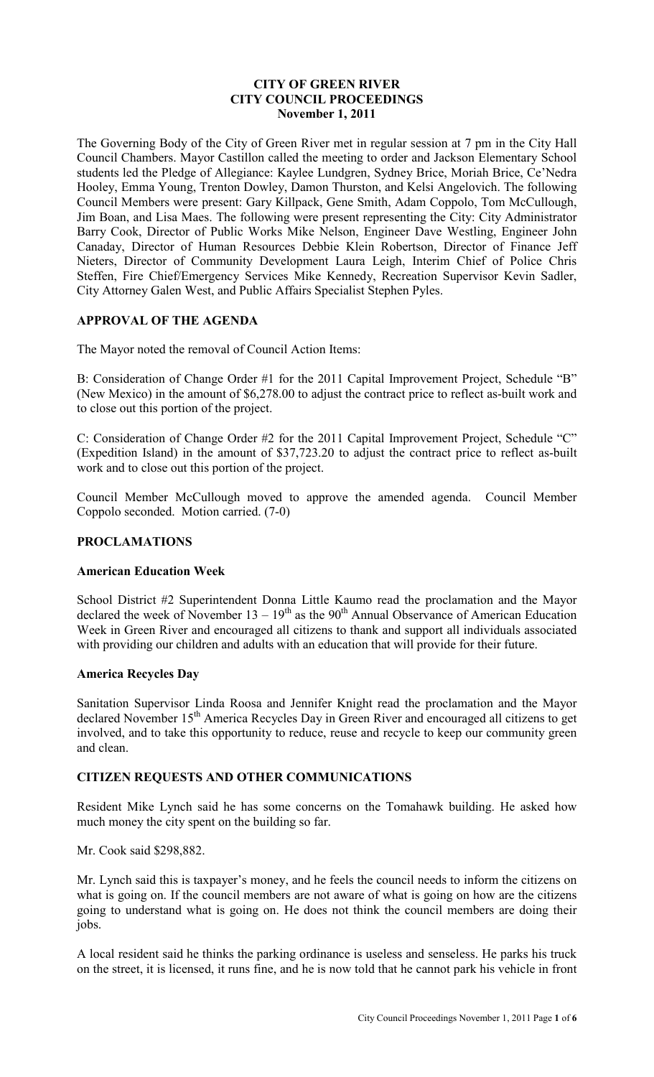# **CITY OF GREEN RIVER CITY COUNCIL PROCEEDINGS November 1, 2011**

The Governing Body of the City of Green River met in regular session at 7 pm in the City Hall Council Chambers. Mayor Castillon called the meeting to order and Jackson Elementary School students led the Pledge of Allegiance: Kaylee Lundgren, Sydney Brice, Moriah Brice, Ce'Nedra Hooley, Emma Young, Trenton Dowley, Damon Thurston, and Kelsi Angelovich. The following Council Members were present: Gary Killpack, Gene Smith, Adam Coppolo, Tom McCullough, Jim Boan, and Lisa Maes. The following were present representing the City: City Administrator Barry Cook, Director of Public Works Mike Nelson, Engineer Dave Westling, Engineer John Canaday, Director of Human Resources Debbie Klein Robertson, Director of Finance Jeff Nieters, Director of Community Development Laura Leigh, Interim Chief of Police Chris Steffen, Fire Chief/Emergency Services Mike Kennedy, Recreation Supervisor Kevin Sadler, City Attorney Galen West, and Public Affairs Specialist Stephen Pyles.

# **APPROVAL OF THE AGENDA**

The Mayor noted the removal of Council Action Items:

B: Consideration of Change Order #1 for the 2011 Capital Improvement Project, Schedule "B" (New Mexico) in the amount of \$6,278.00 to adjust the contract price to reflect as-built work and to close out this portion of the project.

C: Consideration of Change Order #2 for the 2011 Capital Improvement Project, Schedule "C" (Expedition Island) in the amount of \$37,723.20 to adjust the contract price to reflect as-built work and to close out this portion of the project.

Council Member McCullough moved to approve the amended agenda. Council Member Coppolo seconded. Motion carried. (7-0)

# **PROCLAMATIONS**

# **American Education Week**

School District #2 Superintendent Donna Little Kaumo read the proclamation and the Mayor declared the week of November  $13 - 19<sup>th</sup>$  as the  $90<sup>th</sup>$  Annual Observance of American Education Week in Green River and encouraged all citizens to thank and support all individuals associated with providing our children and adults with an education that will provide for their future.

#### **America Recycles Day**

Sanitation Supervisor Linda Roosa and Jennifer Knight read the proclamation and the Mayor declared November 15<sup>th</sup> America Recycles Day in Green River and encouraged all citizens to get involved, and to take this opportunity to reduce, reuse and recycle to keep our community green and clean.

# **CITIZEN REQUESTS AND OTHER COMMUNICATIONS**

Resident Mike Lynch said he has some concerns on the Tomahawk building. He asked how much money the city spent on the building so far.

#### Mr. Cook said \$298,882.

Mr. Lynch said this is taxpayer's money, and he feels the council needs to inform the citizens on what is going on. If the council members are not aware of what is going on how are the citizens going to understand what is going on. He does not think the council members are doing their jobs.

A local resident said he thinks the parking ordinance is useless and senseless. He parks his truck on the street, it is licensed, it runs fine, and he is now told that he cannot park his vehicle in front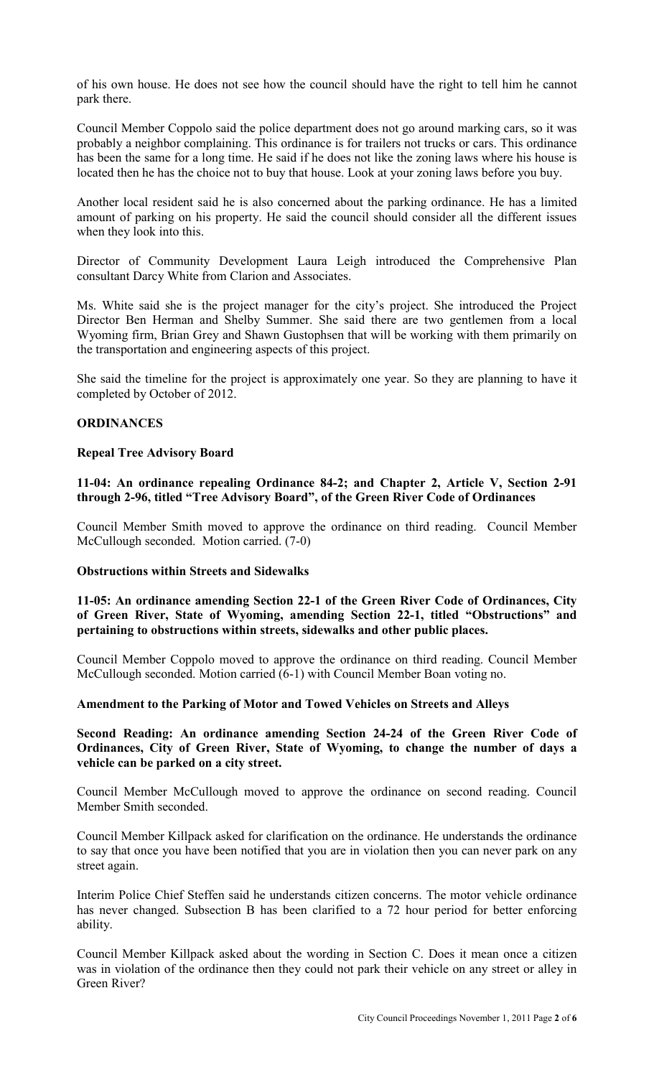of his own house. He does not see how the council should have the right to tell him he cannot park there.

Council Member Coppolo said the police department does not go around marking cars, so it was probably a neighbor complaining. This ordinance is for trailers not trucks or cars. This ordinance has been the same for a long time. He said if he does not like the zoning laws where his house is located then he has the choice not to buy that house. Look at your zoning laws before you buy.

Another local resident said he is also concerned about the parking ordinance. He has a limited amount of parking on his property. He said the council should consider all the different issues when they look into this.

Director of Community Development Laura Leigh introduced the Comprehensive Plan consultant Darcy White from Clarion and Associates.

Ms. White said she is the project manager for the city's project. She introduced the Project Director Ben Herman and Shelby Summer. She said there are two gentlemen from a local Wyoming firm, Brian Grey and Shawn Gustophsen that will be working with them primarily on the transportation and engineering aspects of this project.

She said the timeline for the project is approximately one year. So they are planning to have it completed by October of 2012.

#### **ORDINANCES**

### **Repeal Tree Advisory Board**

**11-04: An ordinance repealing Ordinance 84-2; and Chapter 2, Article V, Section 2-91 through 2-96, titled "Tree Advisory Board", of the Green River Code of Ordinances** 

Council Member Smith moved to approve the ordinance on third reading. Council Member McCullough seconded. Motion carried. (7-0)

#### **Obstructions within Streets and Sidewalks**

**11-05: An ordinance amending Section 22-1 of the Green River Code of Ordinances, City of Green River, State of Wyoming, amending Section 22-1, titled "Obstructions" and pertaining to obstructions within streets, sidewalks and other public places.** 

Council Member Coppolo moved to approve the ordinance on third reading. Council Member McCullough seconded. Motion carried (6-1) with Council Member Boan voting no.

#### **Amendment to the Parking of Motor and Towed Vehicles on Streets and Alleys**

**Second Reading: An ordinance amending Section 24-24 of the Green River Code of Ordinances, City of Green River, State of Wyoming, to change the number of days a vehicle can be parked on a city street.** 

Council Member McCullough moved to approve the ordinance on second reading. Council Member Smith seconded.

Council Member Killpack asked for clarification on the ordinance. He understands the ordinance to say that once you have been notified that you are in violation then you can never park on any street again.

Interim Police Chief Steffen said he understands citizen concerns. The motor vehicle ordinance has never changed. Subsection B has been clarified to a 72 hour period for better enforcing ability.

Council Member Killpack asked about the wording in Section C. Does it mean once a citizen was in violation of the ordinance then they could not park their vehicle on any street or alley in Green River?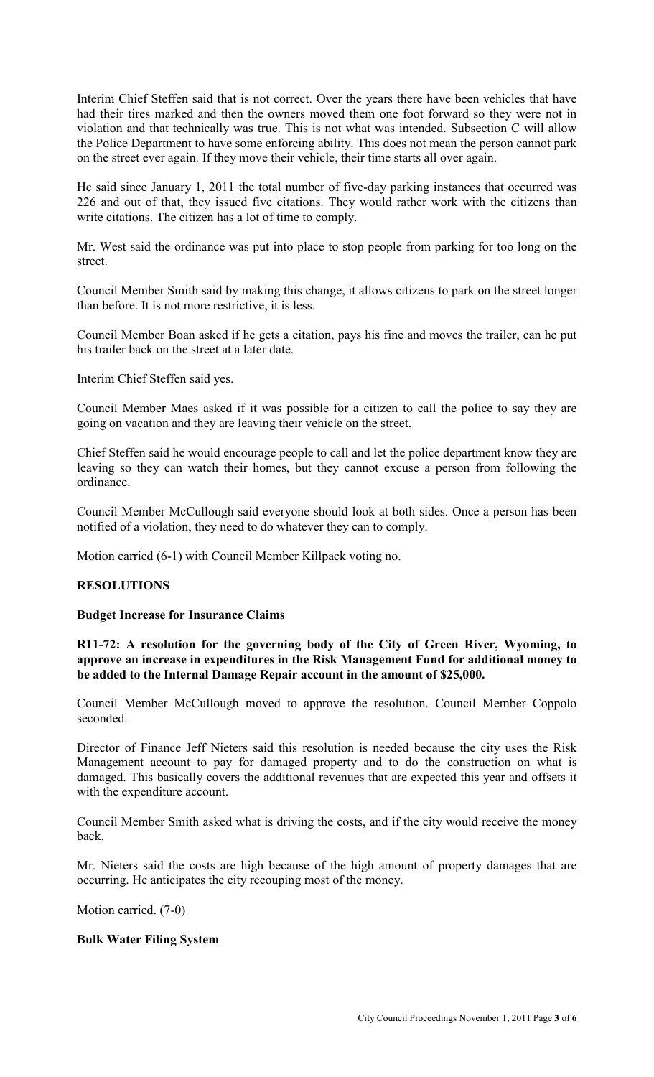Interim Chief Steffen said that is not correct. Over the years there have been vehicles that have had their tires marked and then the owners moved them one foot forward so they were not in violation and that technically was true. This is not what was intended. Subsection C will allow the Police Department to have some enforcing ability. This does not mean the person cannot park on the street ever again. If they move their vehicle, their time starts all over again.

He said since January 1, 2011 the total number of five-day parking instances that occurred was 226 and out of that, they issued five citations. They would rather work with the citizens than write citations. The citizen has a lot of time to comply.

Mr. West said the ordinance was put into place to stop people from parking for too long on the street.

Council Member Smith said by making this change, it allows citizens to park on the street longer than before. It is not more restrictive, it is less.

Council Member Boan asked if he gets a citation, pays his fine and moves the trailer, can he put his trailer back on the street at a later date.

Interim Chief Steffen said yes.

Council Member Maes asked if it was possible for a citizen to call the police to say they are going on vacation and they are leaving their vehicle on the street.

Chief Steffen said he would encourage people to call and let the police department know they are leaving so they can watch their homes, but they cannot excuse a person from following the ordinance.

Council Member McCullough said everyone should look at both sides. Once a person has been notified of a violation, they need to do whatever they can to comply.

Motion carried (6-1) with Council Member Killpack voting no.

# **RESOLUTIONS**

# **Budget Increase for Insurance Claims**

**R11-72: A resolution for the governing body of the City of Green River, Wyoming, to approve an increase in expenditures in the Risk Management Fund for additional money to be added to the Internal Damage Repair account in the amount of \$25,000.** 

Council Member McCullough moved to approve the resolution. Council Member Coppolo seconded.

Director of Finance Jeff Nieters said this resolution is needed because the city uses the Risk Management account to pay for damaged property and to do the construction on what is damaged. This basically covers the additional revenues that are expected this year and offsets it with the expenditure account.

Council Member Smith asked what is driving the costs, and if the city would receive the money back.

Mr. Nieters said the costs are high because of the high amount of property damages that are occurring. He anticipates the city recouping most of the money.

Motion carried. (7-0)

#### **Bulk Water Filing System**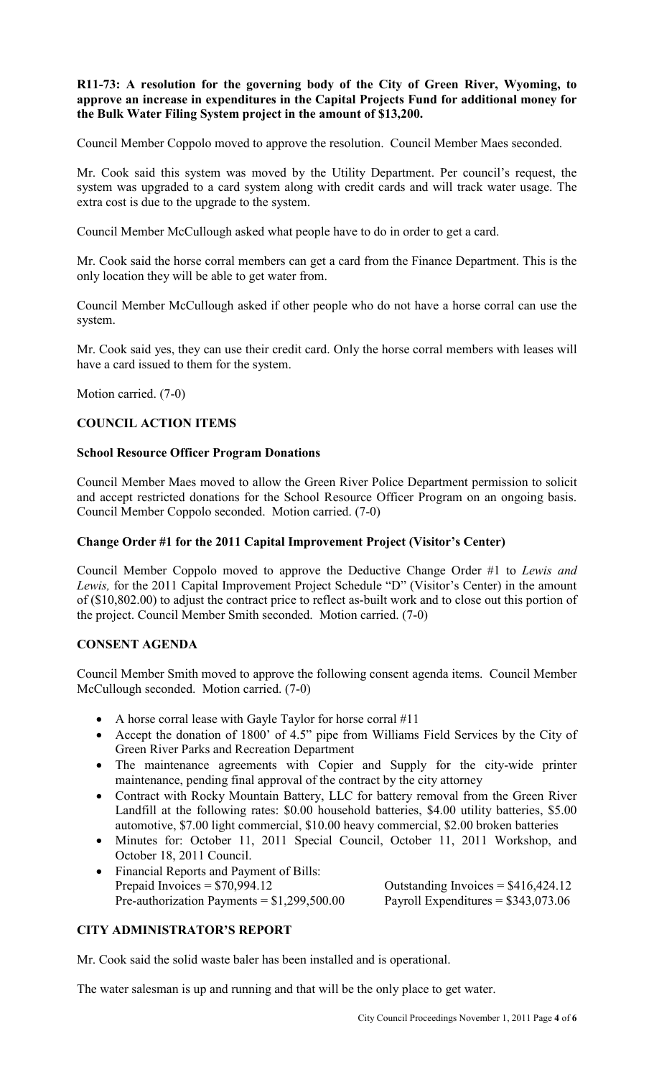# **R11-73: A resolution for the governing body of the City of Green River, Wyoming, to approve an increase in expenditures in the Capital Projects Fund for additional money for the Bulk Water Filing System project in the amount of \$13,200.**

Council Member Coppolo moved to approve the resolution. Council Member Maes seconded.

Mr. Cook said this system was moved by the Utility Department. Per council's request, the system was upgraded to a card system along with credit cards and will track water usage. The extra cost is due to the upgrade to the system.

Council Member McCullough asked what people have to do in order to get a card.

Mr. Cook said the horse corral members can get a card from the Finance Department. This is the only location they will be able to get water from.

Council Member McCullough asked if other people who do not have a horse corral can use the system.

Mr. Cook said yes, they can use their credit card. Only the horse corral members with leases will have a card issued to them for the system.

Motion carried. (7-0)

# **COUNCIL ACTION ITEMS**

# **School Resource Officer Program Donations**

Council Member Maes moved to allow the Green River Police Department permission to solicit and accept restricted donations for the School Resource Officer Program on an ongoing basis. Council Member Coppolo seconded. Motion carried. (7-0)

# **Change Order #1 for the 2011 Capital Improvement Project (Visitor's Center)**

Council Member Coppolo moved to approve the Deductive Change Order #1 to *Lewis and Lewis,* for the 2011 Capital Improvement Project Schedule "D" (Visitor's Center) in the amount of (\$10,802.00) to adjust the contract price to reflect as-built work and to close out this portion of the project. Council Member Smith seconded. Motion carried. (7-0)

# **CONSENT AGENDA**

Council Member Smith moved to approve the following consent agenda items. Council Member McCullough seconded. Motion carried. (7-0)

- A horse corral lease with Gayle Taylor for horse corral #11
- Accept the donation of 1800' of 4.5" pipe from Williams Field Services by the City of Green River Parks and Recreation Department
- The maintenance agreements with Copier and Supply for the city-wide printer maintenance, pending final approval of the contract by the city attorney
- Contract with Rocky Mountain Battery, LLC for battery removal from the Green River Landfill at the following rates: \$0.00 household batteries, \$4.00 utility batteries, \$5.00 automotive, \$7.00 light commercial, \$10.00 heavy commercial, \$2.00 broken batteries
- Minutes for: October 11, 2011 Special Council, October 11, 2011 Workshop, and October 18, 2011 Council.
- Financial Reports and Payment of Bills: Prepaid Invoices =  $$70,994.12$  C Pre-authorization Payments =  $$1,299,500.00$  P

| Dutstanding Invoices = $$416,424.12$ |  |
|--------------------------------------|--|
| Payroll Expenditures = $$343,073.06$ |  |

# **CITY ADMINISTRATOR'S REPORT**

Mr. Cook said the solid waste baler has been installed and is operational.

The water salesman is up and running and that will be the only place to get water.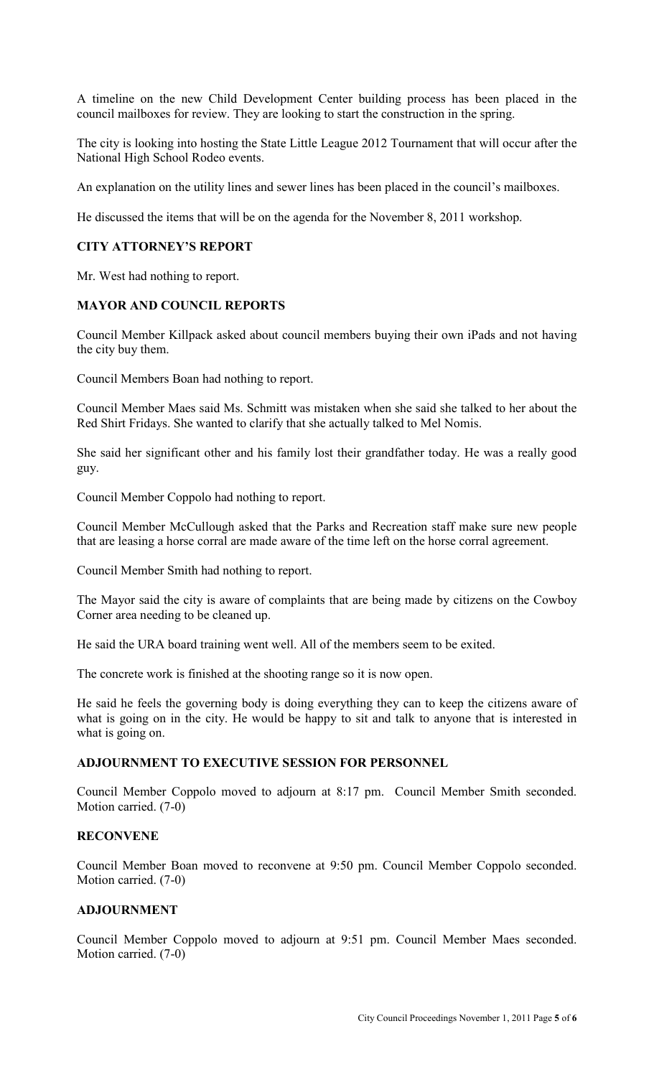A timeline on the new Child Development Center building process has been placed in the council mailboxes for review. They are looking to start the construction in the spring.

The city is looking into hosting the State Little League 2012 Tournament that will occur after the National High School Rodeo events.

An explanation on the utility lines and sewer lines has been placed in the council's mailboxes.

He discussed the items that will be on the agenda for the November 8, 2011 workshop.

# **CITY ATTORNEY'S REPORT**

Mr. West had nothing to report.

# **MAYOR AND COUNCIL REPORTS**

Council Member Killpack asked about council members buying their own iPads and not having the city buy them.

Council Members Boan had nothing to report.

Council Member Maes said Ms. Schmitt was mistaken when she said she talked to her about the Red Shirt Fridays. She wanted to clarify that she actually talked to Mel Nomis.

She said her significant other and his family lost their grandfather today. He was a really good guy.

Council Member Coppolo had nothing to report.

Council Member McCullough asked that the Parks and Recreation staff make sure new people that are leasing a horse corral are made aware of the time left on the horse corral agreement.

Council Member Smith had nothing to report.

The Mayor said the city is aware of complaints that are being made by citizens on the Cowboy Corner area needing to be cleaned up.

He said the URA board training went well. All of the members seem to be exited.

The concrete work is finished at the shooting range so it is now open.

He said he feels the governing body is doing everything they can to keep the citizens aware of what is going on in the city. He would be happy to sit and talk to anyone that is interested in what is going on.

# **ADJOURNMENT TO EXECUTIVE SESSION FOR PERSONNEL**

Council Member Coppolo moved to adjourn at 8:17 pm. Council Member Smith seconded. Motion carried. (7-0)

#### **RECONVENE**

Council Member Boan moved to reconvene at 9:50 pm. Council Member Coppolo seconded. Motion carried. (7-0)

# **ADJOURNMENT**

Council Member Coppolo moved to adjourn at 9:51 pm. Council Member Maes seconded. Motion carried. (7-0)